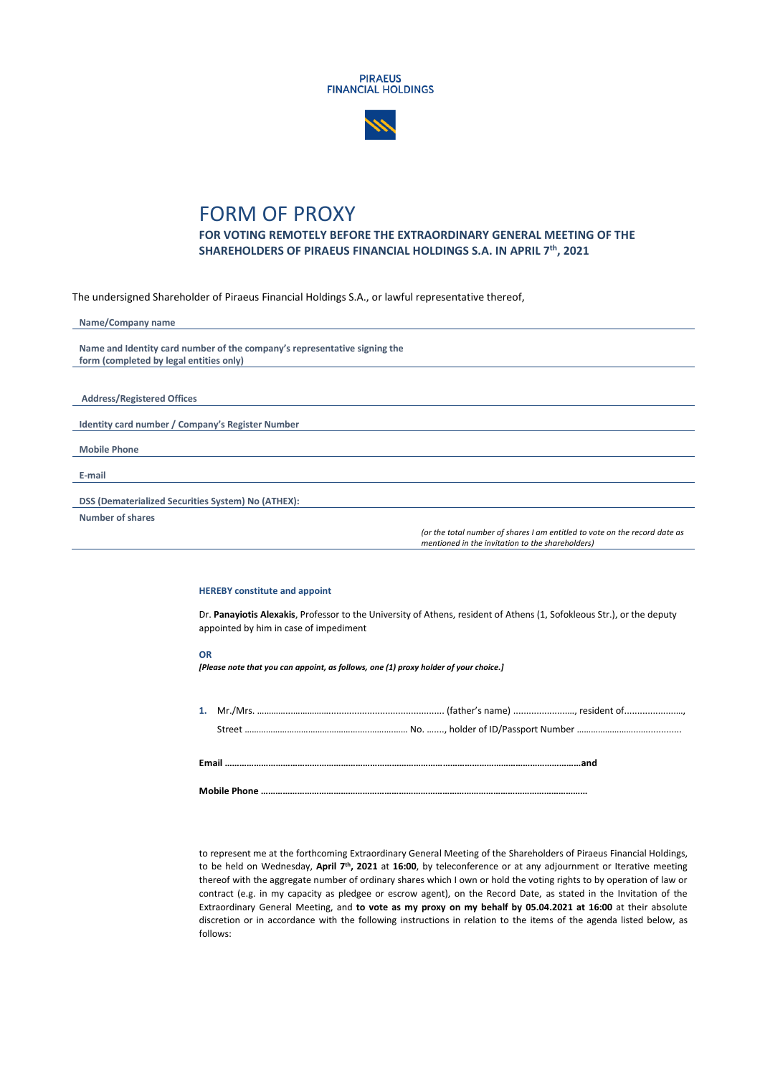



## FORM OF PROXY

**FOR VOTING REMOTELY BEFORE THE EXTRAORDINARY GENERAL MEETING OF THE SHAREHOLDERS OF PIRAEUS FINANCIAL HOLDINGS S.A. IN APRIL 7th, 2021**

The undersigned Shareholder of Piraeus Financial Holdings S.A., or lawful representative thereof,

| Name/Company name                                                                                                              |
|--------------------------------------------------------------------------------------------------------------------------------|
|                                                                                                                                |
| Name and Identity card number of the company's representative signing the                                                      |
| form (completed by legal entities only)                                                                                        |
|                                                                                                                                |
|                                                                                                                                |
| <b>Address/Registered Offices</b>                                                                                              |
|                                                                                                                                |
| Identity card number / Company's Register Number                                                                               |
|                                                                                                                                |
| <b>Mobile Phone</b>                                                                                                            |
|                                                                                                                                |
| E-mail                                                                                                                         |
|                                                                                                                                |
| DSS (Dematerialized Securities System) No (ATHEX):                                                                             |
| <b>Number of shares</b>                                                                                                        |
| (or the total number of shares I am entitled to vote on the record date as<br>mentioned in the invitation to the shareholders) |

## **HEREBY constitute and appoint**

Dr. **Panayiotis Alexakis**, Professor to the University of Athens, resident of Athens (1, Sofokleous Str.), or the deputy appointed by him in case of impediment

## **OR**

*[Please note that you can appoint, as follows, one (1) proxy holder of your choice.]*

to represent me at the forthcoming Extraordinary General Meeting of the Shareholders of Piraeus Financial Holdings, to be held on Wednesday, **April 7 th, 2021** at **16:00**, by teleconference or at any adjournment or Iterative meeting thereof with the aggregate number of ordinary shares which I own or hold the voting rights to by operation of law or contract (e.g. in my capacity as pledgee or escrow agent), on the Record Date, as stated in the Invitation of the Extraordinary General Meeting, and **to vote as my proxy on my behalf by 05.04.2021 at 16:00** at their absolute discretion or in accordance with the following instructions in relation to the items of the agenda listed below, as follows: